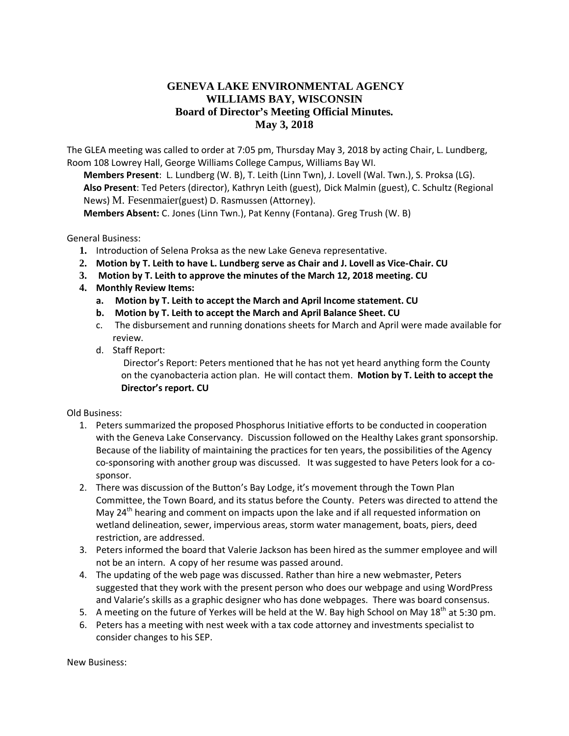## **GENEVA LAKE ENVIRONMENTAL AGENCY WILLIAMS BAY, WISCONSIN Board of Director's Meeting Official Minutes. May 3, 2018**

The GLEA meeting was called to order at 7:05 pm, Thursday May 3, 2018 by acting Chair, L. Lundberg, Room 108 Lowrey Hall, George Williams College Campus, Williams Bay WI.

**Members Present**: L. Lundberg (W. B), T. Leith (Linn Twn), J. Lovell (Wal. Twn.), S. Proksa (LG). **Also Present**: Ted Peters (director), Kathryn Leith (guest), Dick Malmin (guest), C. Schultz (Regional News) M. Fesenmaier(guest) D. Rasmussen (Attorney).

**Members Absent:** C. Jones (Linn Twn.), Pat Kenny (Fontana). Greg Trush (W. B)

General Business:

- **1.** Introduction of Selena Proksa as the new Lake Geneva representative.
- **2. Motion by T. Leith to have L. Lundberg serve as Chair and J. Lovell as Vice-Chair. CU**
- **3. Motion by T. Leith to approve the minutes of the March 12, 2018 meeting. CU**
- **4. Monthly Review Items:**
	- **a. Motion by T. Leith to accept the March and April Income statement. CU**
	- **b. Motion by T. Leith to accept the March and April Balance Sheet. CU**
	- c. The disbursement and running donations sheets for March and April were made available for review.
	- d. Staff Report:

Director's Report: Peters mentioned that he has not yet heard anything form the County on the cyanobacteria action plan. He will contact them. **Motion by T. Leith to accept the Director's report. CU** 

Old Business:

- 1. Peters summarized the proposed Phosphorus Initiative efforts to be conducted in cooperation with the Geneva Lake Conservancy. Discussion followed on the Healthy Lakes grant sponsorship. Because of the liability of maintaining the practices for ten years, the possibilities of the Agency co-sponsoring with another group was discussed. It was suggested to have Peters look for a cosponsor.
- 2. There was discussion of the Button's Bay Lodge, it's movement through the Town Plan Committee, the Town Board, and its status before the County. Peters was directed to attend the May 24<sup>th</sup> hearing and comment on impacts upon the lake and if all requested information on wetland delineation, sewer, impervious areas, storm water management, boats, piers, deed restriction, are addressed.
- 3. Peters informed the board that Valerie Jackson has been hired as the summer employee and will not be an intern. A copy of her resume was passed around.
- 4. The updating of the web page was discussed. Rather than hire a new webmaster, Peters suggested that they work with the present person who does our webpage and using WordPress and Valarie's skills as a graphic designer who has done webpages. There was board consensus.
- 5. A meeting on the future of Yerkes will be held at the W. Bay high School on May 18<sup>th</sup> at 5:30 pm.
- 6. Peters has a meeting with nest week with a tax code attorney and investments specialist to consider changes to his SEP.

New Business: